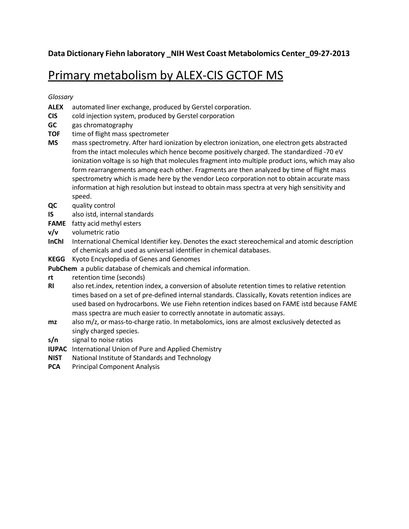**Data Dictionary Fiehn laboratory \_NIH West Coast Metabolomics Center\_09-27-2013**

## Primary metabolism by ALEX-CIS GCTOF MS

*Glossary*

- **ALEX** automated liner exchange, produced by Gerstel corporation.
- **CIS** cold injection system, produced by Gerstel corporation
- **GC** gas chromatography
- **TOF** time of flight mass spectrometer
- **MS** mass spectrometry. After hard ionization by electron ionization, one electron gets abstracted from the intact molecules which hence become positively charged. The standardized -70 eV ionization voltage is so high that molecules fragment into multiple product ions, which may also form rearrangements among each other. Fragments are then analyzed by time of flight mass spectrometry which is made here by the vendor Leco corporation not to obtain accurate mass information at high resolution but instead to obtain mass spectra at very high sensitivity and speed.
- **QC** quality control
- **IS** also istd, internal standards
- **FAME** fatty acid methyl esters
- **v/v** volumetric ratio
- **InChI** International Chemical Identifier key. Denotes the exact stereochemical and atomic description of chemicals and used as universal identifier in chemical databases.
- **KEGG** Kyoto Encyclopedia of Genes and Genomes

PubChem a public database of chemicals and chemical information.

- **rt** retention time (seconds)
- **RI** also ret.index, retention index, a conversion of absolute retention times to relative retention times based on a set of pre-defined internal standards. Classically, Kovats retention indices are used based on hydrocarbons. We use Fiehn retention indices based on FAME istd because FAME mass spectra are much easier to correctly annotate in automatic assays.
- **mz** also m/z, or mass-to-charge ratio. In metabolomics, ions are almost exclusively detected as singly charged species.
- **s/n** signal to noise ratios
- **IUPAC** International Union of Pure and Applied Chemistry
- **NIST** National Institute of Standards and Technology
- **PCA** Principal Component Analysis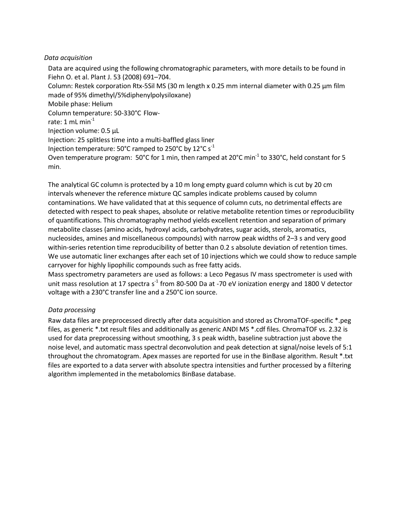## *Data acquisition*

Data are acquired using the following chromatographic parameters, with more details to be found in Fiehn O. et al. Plant J. 53 (2008) 691–704. Column: Restek corporation Rtx-5Sil MS (30 m length x 0.25 mm internal diameter with 0.25 µm film made of 95% dimethyl/5%diphenylpolysiloxane) Mobile phase: Helium Column temperature: 50-330°C Flowrate:  $1$  mL min<sup>-1</sup> Injection volume: 0.5 µL Injection: 25 splitless time into a multi-baffled glass liner Injection temperature: 50°C ramped to 250°C by 12°C s<sup>-1</sup> Oven temperature program: 50°C for 1 min, then ramped at 20°C min<sup>-1</sup> to 330°C, held constant for 5 min.

The analytical GC column is protected by a 10 m long empty guard column which is cut by 20 cm intervals whenever the reference mixture QC samples indicate problems caused by column contaminations. We have validated that at this sequence of column cuts, no detrimental effects are detected with respect to peak shapes, absolute or relative metabolite retention times or reproducibility of quantifications. This chromatography method yields excellent retention and separation of primary metabolite classes (amino acids, hydroxyl acids, carbohydrates, sugar acids, sterols, aromatics, nucleosides, amines and miscellaneous compounds) with narrow peak widths of 2–3 s and very good within-series retention time reproducibility of better than 0.2 s absolute deviation of retention times. We use automatic liner exchanges after each set of 10 injections which we could show to reduce sample carryover for highly lipophilic compounds such as free fatty acids.

Mass spectrometry parameters are used as follows: a Leco Pegasus IV mass spectrometer is used with unit mass resolution at 17 spectra s<sup>-1</sup> from 80-500 Da at -70 eV ionization energy and 1800 V detector voltage with a 230°C transfer line and a 250°C ion source.

## *Data processing*

Raw data files are preprocessed directly after data acquisition and stored as ChromaTOF-specific \*.peg files, as generic \*.txt result files and additionally as generic ANDI MS \*.cdf files. ChromaTOF vs. 2.32 is used for data preprocessing without smoothing, 3 s peak width, baseline subtraction just above the noise level, and automatic mass spectral deconvolution and peak detection at signal/noise levels of 5:1 throughout the chromatogram. Apex masses are reported for use in the BinBase algorithm. Result \*.txt files are exported to a data server with absolute spectra intensities and further processed by a filtering algorithm implemented in the metabolomics BinBase database.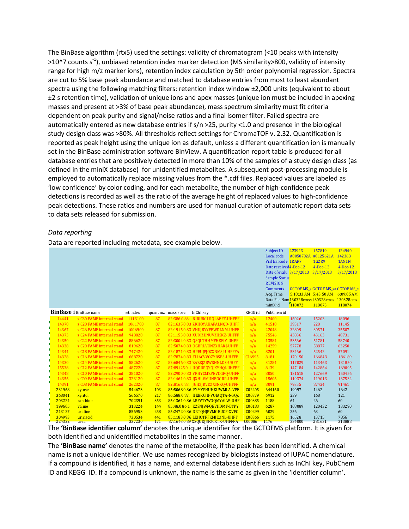The BinBase algorithm (rtx5) used the settings: validity of chromatogram (<10 peaks with intensity >10^7 counts s<sup>-1</sup>), unbiased retention index marker detection (MS similarity>800, validity of intensity range for high m/z marker ions), retention index calculation by 5th order polynomial regression. Spectra are cut to 5% base peak abundance and matched to database entries from most to least abundant spectra using the following matching filters: retention index window ±2,000 units (equivalent to about ±2 s retention time), validation of unique ions and apex masses (unique ion must be included in apexing masses and present at >3% of base peak abundance), mass spectrum similarity must fit criteria dependent on peak purity and signal/noise ratios and a final isomer filter. Failed spectra are automatically entered as new database entries if s/n >25, purity <1.0 and presence in the biological study design class was >80%. All thresholds reflect settings for ChromaTOF v. 2.32. Quantification is reported as peak height using the unique ion as default, unless a different quantification ion is manually set in the BinBase administration software BinView. A quantification report table is produced for all database entries that are positively detected in more than 10% of the samples of a study design class (as defined in the miniX database) for unidentified metabolites. A subsequent post-processing module is employed to automatically replace missing values from the \*.cdf files. Replaced values are labeled as 'low confidence' by color coding, and for each metabolite, the number of high-confidence peak detections is recorded as well as the ratio of the average height of replaced values to high-confidence peak detections. These ratios and numbers are used for manual curation of automatic report data sets to data sets released for submission.

## *Data reporting*

Data are reported including metadata, see example below.

|                  |                                       |           |          |           |                                    |         | <b>Subject ID</b>       | 223913                    | 157819                                       | 124940     |
|------------------|---------------------------------------|-----------|----------|-----------|------------------------------------|---------|-------------------------|---------------------------|----------------------------------------------|------------|
|                  |                                       |           |          |           |                                    |         | Local code              | A0050702A                 | A0125621A                                    | 142363     |
|                  |                                       |           |          |           |                                    |         | Vial Barcode 1RAR7      |                           | 1GZR9                                        | 1AN1N      |
|                  |                                       |           |          |           |                                    |         | Date received4-Dec-12   |                           | $4-Dec-12$                                   | $4-Dec-12$ |
|                  |                                       |           |          |           |                                    |         | Date of evalu 3/17/2013 |                           | 3/17/2013                                    | 3/17/2013  |
|                  |                                       |           |          |           |                                    |         | Sample Status           |                           |                                              |            |
|                  |                                       |           |          |           |                                    |         | <b>REVISION</b>         |                           |                                              |            |
|                  |                                       |           |          |           |                                    |         | <b>Comments</b>         |                           | <b>GCTOF MS s GCTOF MS sa GCTOF MS s</b>     |            |
|                  |                                       |           |          |           |                                    |         | Acq. Time               |                           | 5:18:33 AM 5:43:50 AM 6:09:05 AM             |            |
|                  |                                       |           |          |           |                                    |         |                         |                           | Data File Nam130328cmss 130328cmss 130328cms |            |
|                  |                                       |           |          |           |                                    |         | miniX id                | 118072                    | 118073                                       | 118074     |
|                  | <b>BinBase i</b> BinBase name         | ret.index | quant mz | mass spec | InChI key                          | KEGG id | PubChem id              |                           |                                              |            |
| 14441            | z C30 FAME internal stand             | 1113100   | 87       |           | 82:386.0 83: BIRUBGLROLAEFF-UHFFF  | n/a     | 12400                   | 16026                     | 15203                                        | 18096      |
| 14378            | z C <sub>28</sub> FAME internal stand | 1061700   | 87       |           | 82:1635.0 83 ZKHOYAKAFALNOD-UHFF   | n/a     | 41518                   | 39317                     | 228                                          | 11145      |
| 14367            | z C <sub>26</sub> FAME internal stand | 1006900   | 87       |           | 82:1915.0 83 VHUJBYYFFWDLNM-UHFF   | n/a     | 22048                   | 32809                     | 30571                                        | 35507      |
| 14373            | z C <sub>24</sub> FAME internal stand | 948820    | 87       |           | 82:1153.0 83 XUDJZDNUVZHSKZ-UHFFF  | n/a     | 75546                   | 43836                     | 43163                                        | 48731      |
| 14350            | z C22 FAME internal stand             | 886620    | 87       |           | 82:3004.0 83 OSOLTHHMFHEFIY-UHFF   | n/a     | 13584                   | 53566                     | 51781                                        | 58740      |
| 14338            | z C <sub>20</sub> FAME internal stand | 819620    | 87       |           | 82:5074.0 83 QGBRLVONZXHAKJ-UHFF   | n/a     | 14259                   | 57778                     | 58877                                        | 63250      |
| 14344            | z C <sub>18</sub> FAME internal stand | 747420    | 87       |           | 82:1871.0 83 HPEUJPJOZXNMSJ-UHFFFA | n/a     | 8201                    | 53466                     | 52542                                        | 57091      |
| 14328            | z C <sub>16</sub> FAME internal stand | 668720    | 87       |           | 82:7874.0 83 FLIACVVOZYBSBS-UHFFF  | C16995  | 8181                    | 170150                    | 166843                                       | 186189     |
| 14330            | z C14 FAME internal stand             | 582620    | 87       |           | 82:6846.0 83 ZAZKIZBWRNNLDS-UHFF   | n/a     | 31284                   | 117029                    | 113463                                       | 131850     |
| 15538            | z C12 FAME internal stand             | 487220    | 87       |           | 87:89125.0 1 UQDUPQYQJKYHQI-UHFFF  | n/a     | 8139                    | 147184                    | 142864                                       | 169095     |
| 14348            | z C <sub>10</sub> FAME internal stand | 381020    | 87       |           | 82:2900.0 83 YRHYCMZPEVDGFQ-UHFF   | n/a     | 8050                    | 131518                    | 127669                                       | 150456     |
| 14356            | z C09 FAME internal stand             | 323120    | 87       |           | 82:1461.0 83 IIXHLVMUNBOGRR-UHFF   | n/a     | 15606                   | 119374                    | 119013                                       | 137532     |
| 14391            | z C08 FAME internal stand             | 262320    | 87       |           | 82:816.0 83: IGHZIRVDZXSNKO-UHFFF  | n/a     | 8091                    | 79355                     | 87424                                        | 91461      |
| 231968           | xylose                                | 544673    | 103      |           | 85:5068.0 86 PYMYPHUHKUWMLA-VPE    | C02205  | 644160                  | 19097                     | 1462                                         | 1642       |
| 368041           | xylitol                               | 566570    | 217      |           | 86:588.0 87: HEBKCHPVOIAOTA-NGQZ   | C00379  | 6912                    | 239                       | 168                                          | 121        |
| 203224           | xanthine                              | 702391    | 353      |           | 85:1361.0 86 LRFVTYWOOMYALW-UHF    | C00385  | 1188                    | 64                        | 26                                           | 60         |
| 199605           | valine                                | 313224    | 144      |           | 85:48.0 86:1 KZSNJWFQEVHDMF-BYPY   | C00183  | 6287                    | 108089                    | 120432                                       | 133290     |
| 213127           | uridine                               | 856953    | 258      |           | 85:2472.0 86 DRTOHIPVMGBUCF-XVFC   | C00299  | 6029                    | 256                       | 63                                           | 60         |
| 304993           | uric acid                             | 730534    | 441      |           | 85:1183.0 86 LEHOTFFKMIEONL-UHFF   | C00366  | 1175                    | 16528                     | 13715                                        | 7856       |
| 224322<br>$\sim$ | urea<br>. .<br>$  -$                  | 337230    | 171      |           | 87:1643.0 89 XSQUKJJJFZCRTK-UHFFFA | C00086  | 1176                    | 334000<br>$\cdot$ $\cdot$ | 281631                                       | 313888     |

The **'BinBase identifier column'** denotes the unique identifier for the GCTOFMS platform. It is given for both identified and unidentified metabolites in the same manner.

The **'BinBase name'** denotes the name of the metabolite, if the peak has been identified. A chemical name is not a unique identifier. We use names recognized by biologists instead of IUPAC nomenclature. If a compound is identified, it has a name, and external database identifiers such as InChI key, PubChem ID and KEGG ID. If a compound is unknown, the name is the same as given in the 'identifier column'.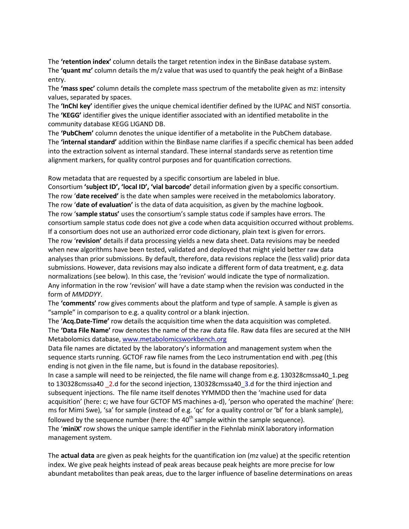The **'retention index'** column details the target retention index in the BinBase database system. The **'quant mz'** column details the m/z value that was used to quantify the peak height of a BinBase entry.

The **'mass spec'** column details the complete mass spectrum of the metabolite given as mz: intensity values, separated by spaces.

The **'InChI key'** identifier gives the unique chemical identifier defined by the IUPAC and NIST consortia. The **'KEGG'** identifier gives the unique identifier associated with an identified metabolite in the community database KEGG LIGAND DB.

The **'PubChem'** column denotes the unique identifier of a metabolite in the PubChem database. The **'internal standard'** addition within the BinBase name clarifies if a specific chemical has been added into the extraction solvent as internal standard. These internal standards serve as retention time alignment markers, for quality control purposes and for quantification corrections.

Row metadata that are requested by a specific consortium are labeled in blue.

Consortium **'subject ID', 'local ID', 'vial barcode'** detail information given by a specific consortium. The row '**date received'** is the date when samples were received in the metabolomics laboratory. The row '**date of evaluation'** is the data of data acquisition, as given by the machine logbook. The row '**sample status'** uses the consortium's sample status code if samples have errors. The consortium sample status code does not give a code when data acquisition occurred without problems. If a consortium does not use an authorized error code dictionary, plain text is given for errors. The row '**revision'** details if data processing yields a new data sheet. Data revisions may be needed when new algorithms have been tested, validated and deployed that might yield better raw data analyses than prior submissions. By default, therefore, data revisions replace the (less valid) prior data submissions. However, data revisions may also indicate a different form of data treatment, e.g. data normalizations (see below). In this case, the 'revision' would indicate the type of normalization. Any information in the row 'revision' will have a date stamp when the revision was conducted in the form of *MMDDYY*.

The **'comments'** row gives comments about the platform and type of sample. A sample is given as "sample" in comparison to e.g. a quality control or a blank injection.

The '**Acq.Date-Time'** row details the acquisition time when the data acquisition was completed. The **'Data File Name'** row denotes the name of the raw data file. Raw data files are secured at the NIH Metabolomics database, [www.metabolomicsworkbench.org](http://www.metabolomicsworkbench.org/)

Data file names are dictated by the laboratory's information and management system when the sequence starts running. GCTOF raw file names from the Leco instrumentation end with .peg (this ending is not given in the file name, but is found in the database repositories).

In case a sample will need to be reinjected, the file name will change from e.g. 130328cmssa40\_1.peg to 130328cmssa40 2.d for the second injection, 130328cmssa40 3.d for the third injection and subsequent injections. The file name itself denotes YYMMDD then the 'machine used for data acquisition' (here: c; we have four GCTOF MS machines a-d), 'person who operated the machine' (here: ms for Mimi Swe), 'sa' for sample (instead of e.g. 'qc' for a quality control or 'bl' for a blank sample), followed by the sequence number (here: the  $40<sup>th</sup>$  sample within the sample sequence). The '**miniX'** row shows the unique sample identifier in the Fiehnlab miniX laboratory information management system.

The **actual data** are given as peak heights for the quantification ion (mz value) at the specific retention index. We give peak heights instead of peak areas because peak heights are more precise for low abundant metabolites than peak areas, due to the larger influence of baseline determinations on areas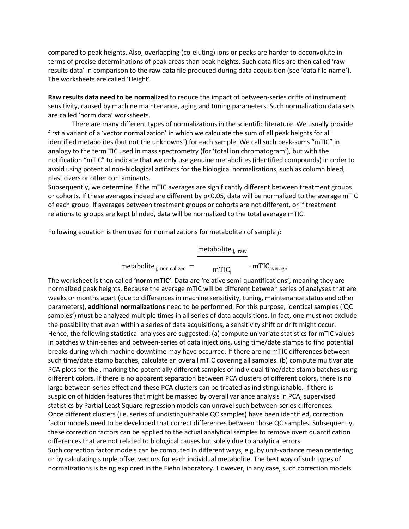compared to peak heights. Also, overlapping (co-eluting) ions or peaks are harder to deconvolute in terms of precise determinations of peak areas than peak heights. Such data files are then called 'raw results data' in comparison to the raw data file produced during data acquisition (see 'data file name'). The worksheets are called 'Height'.

**Raw results data need to be normalized** to reduce the impact of between-series drifts of instrument sensitivity, caused by machine maintenance, aging and tuning parameters. Such normalization data sets are called 'norm data' worksheets.

There are many different types of normalizations in the scientific literature. We usually provide first a variant of a 'vector normalization' in which we calculate the sum of all peak heights for all identified metabolites (but not the unknowns!) for each sample. We call such peak-sums "mTIC" in analogy to the term TIC used in mass spectrometry (for 'total ion chromatogram'), but with the notification "mTIC" to indicate that we only use genuine metabolites (identified compounds) in order to avoid using potential non-biological artifacts for the biological normalizations, such as column bleed, plasticizers or other contaminants.

Subsequently, we determine if the mTIC averages are significantly different between treatment groups or cohorts. If these averages indeed are different by p<0.05, data will be normalized to the average mTIC of each group. If averages between treatment groups or cohorts are not different, or if treatment relations to groups are kept blinded, data will be normalized to the total average mTIC.

Following equation is then used for normalizations for metabolite *i* of sample *j*:

metabolite<sub>ij, raw</sub>

 $\text{metabolic}_{\text{ij, normalized}} = \text{mTIC}_{\text{j}}$  $\cdot$  mTIC<sub>average</sub>

The worksheet is then called **'norm mTIC'**. Data are 'relative semi-quantifications', meaning they are normalized peak heights. Because the average mTIC will be different between series of analyses that are weeks or months apart (due to differences in machine sensitivity, tuning, maintenance status and other parameters), **additional normalizations** need to be performed. For this purpose, identical samples ('QC samples') must be analyzed multiple times in all series of data acquisitions. In fact, one must not exclude the possibility that even within a series of data acquisitions, a sensitivity shift or drift might occur. Hence, the following statistical analyses are suggested: (a) compute univariate statistics for mTIC values in batches within-series and between-series of data injections, using time/date stamps to find potential breaks during which machine downtime may have occurred. If there are no mTIC differences between such time/date stamp batches, calculate an overall mTIC covering all samples. (b) compute multivariate PCA plots for the , marking the potentially different samples of individual time/date stamp batches using different colors. If there is no apparent separation between PCA clusters of different colors, there is no large between-series effect and these PCA clusters can be treated as indistinguishable. If there is suspicion of hidden features that might be masked by overall variance analysis in PCA, supervised statistics by Partial Least Square regression models can unravel such between-series differences. Once different clusters (i.e. series of undistinguishable QC samples) have been identified, correction factor models need to be developed that correct differences between those QC samples. Subsequently, these correction factors can be applied to the actual analytical samples to remove overt quantification differences that are not related to biological causes but solely due to analytical errors. Such correction factor models can be computed in different ways, e.g. by unit-variance mean centering or by calculating simple offset vectors for each individual metabolite. The best way of such types of normalizations is being explored in the Fiehn laboratory. However, in any case, such correction models